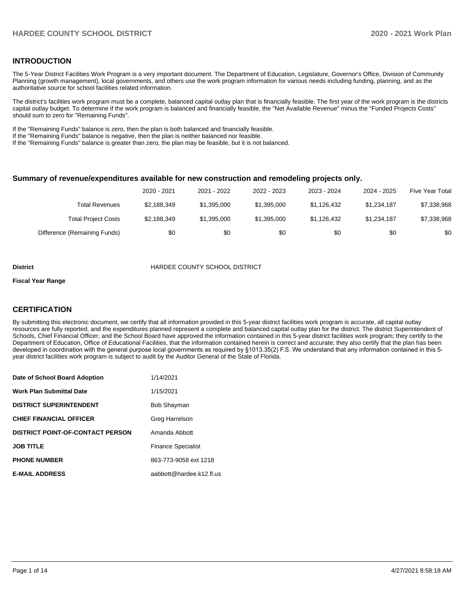## **INTRODUCTION**

The 5-Year District Facilities Work Program is a very important document. The Department of Education, Legislature, Governor's Office, Division of Community Planning (growth management), local governments, and others use the work program information for various needs including funding, planning, and as the authoritative source for school facilities related information.

The district's facilities work program must be a complete, balanced capital outlay plan that is financially feasible. The first year of the work program is the districts capital outlay budget. To determine if the work program is balanced and financially feasible, the "Net Available Revenue" minus the "Funded Projects Costs" should sum to zero for "Remaining Funds".

If the "Remaining Funds" balance is zero, then the plan is both balanced and financially feasible.

If the "Remaining Funds" balance is negative, then the plan is neither balanced nor feasible.

If the "Remaining Funds" balance is greater than zero, the plan may be feasible, but it is not balanced.

#### **Summary of revenue/expenditures available for new construction and remodeling projects only.**

|                              | 2020 - 2021 | 2021 - 2022 | 2022 - 2023 | 2023 - 2024 | 2024 - 2025 | <b>Five Year Total</b> |
|------------------------------|-------------|-------------|-------------|-------------|-------------|------------------------|
| Total Revenues               | \$2,188,349 | \$1,395,000 | \$1.395.000 | \$1.126.432 | \$1.234.187 | \$7,338,968            |
| <b>Total Project Costs</b>   | \$2,188,349 | \$1,395,000 | \$1,395,000 | \$1,126,432 | \$1,234,187 | \$7,338,968            |
| Difference (Remaining Funds) | \$0         | \$0         | \$0         | \$0         | \$0         | \$0                    |

#### **District COUNTY SCHOOL DISTRICT**

#### **Fiscal Year Range**

## **CERTIFICATION**

By submitting this electronic document, we certify that all information provided in this 5-year district facilities work program is accurate, all capital outlay resources are fully reported, and the expenditures planned represent a complete and balanced capital outlay plan for the district. The district Superintendent of Schools, Chief Financial Officer, and the School Board have approved the information contained in this 5-year district facilities work program; they certify to the Department of Education, Office of Educational Facilities, that the information contained herein is correct and accurate; they also certify that the plan has been developed in coordination with the general purpose local governments as required by §1013.35(2) F.S. We understand that any information contained in this 5 year district facilities work program is subject to audit by the Auditor General of the State of Florida.

| Date of School Board Adoption           | 1/14/2021                 |
|-----------------------------------------|---------------------------|
| <b>Work Plan Submittal Date</b>         | 1/15/2021                 |
| <b>DISTRICT SUPERINTENDENT</b>          | <b>Bob Shayman</b>        |
| <b>CHIEF FINANCIAL OFFICER</b>          | Greg Harrelson            |
| <b>DISTRICT POINT-OF-CONTACT PERSON</b> | Amanda Abbott             |
| <b>JOB TITLE</b>                        | <b>Finance Specialist</b> |
| <b>PHONE NUMBER</b>                     | 863-773-9058 ext 1218     |
| <b>E-MAIL ADDRESS</b>                   | aabbott@hardee.k12.fl.us  |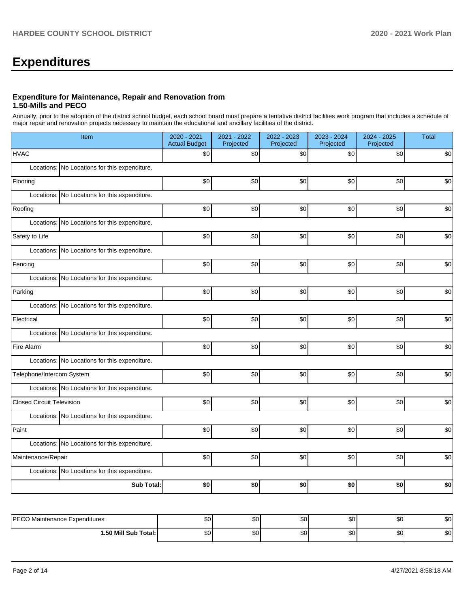# **Expenditures**

## **Expenditure for Maintenance, Repair and Renovation from 1.50-Mills and PECO**

Annually, prior to the adoption of the district school budget, each school board must prepare a tentative district facilities work program that includes a schedule of major repair and renovation projects necessary to maintain the educational and ancillary facilities of the district.

| Item                                          | 2020 - 2021<br><b>Actual Budget</b> | 2021 - 2022<br>Projected | 2022 - 2023<br>Projected | 2023 - 2024<br>Projected | 2024 - 2025<br>Projected | <b>Total</b> |
|-----------------------------------------------|-------------------------------------|--------------------------|--------------------------|--------------------------|--------------------------|--------------|
| <b>HVAC</b>                                   | \$0                                 | \$0                      | \$0                      | \$0                      | \$0                      | \$0          |
| Locations: No Locations for this expenditure. |                                     |                          |                          |                          |                          |              |
| Flooring                                      | \$0                                 | \$0                      | \$0                      | \$0                      | \$0                      | \$0          |
| Locations: No Locations for this expenditure. |                                     |                          |                          |                          |                          |              |
| Roofing                                       | \$0                                 | \$0                      | \$0                      | \$0                      | \$0                      | \$0          |
| Locations: No Locations for this expenditure. |                                     |                          |                          |                          |                          |              |
| Safety to Life                                | \$0                                 | \$0                      | \$0                      | \$0                      | \$0                      | \$0          |
| Locations: No Locations for this expenditure. |                                     |                          |                          |                          |                          |              |
| Fencing                                       | \$0                                 | \$0                      | \$0                      | \$0                      | \$0                      | \$0          |
| Locations: No Locations for this expenditure. |                                     |                          |                          |                          |                          |              |
| Parking                                       | \$0                                 | \$0                      | \$0                      | \$0                      | \$0                      | \$0          |
| Locations: No Locations for this expenditure. |                                     |                          |                          |                          |                          |              |
| Electrical                                    | \$0                                 | \$0                      | \$0                      | \$0                      | \$0                      | \$0          |
| Locations: No Locations for this expenditure. |                                     |                          |                          |                          |                          |              |
| Fire Alarm                                    | \$0                                 | \$0                      | \$0                      | \$0                      | \$0                      | \$0          |
| Locations: No Locations for this expenditure. |                                     |                          |                          |                          |                          |              |
| Telephone/Intercom System                     | \$0                                 | \$0                      | \$0                      | \$0                      | \$0                      | \$0          |
| Locations: No Locations for this expenditure. |                                     |                          |                          |                          |                          |              |
| <b>Closed Circuit Television</b>              | \$0                                 | \$0                      | \$0                      | \$0                      | \$0                      | \$0          |
| Locations: No Locations for this expenditure. |                                     |                          |                          |                          |                          |              |
| Paint                                         | \$0                                 | \$0                      | \$0                      | \$0                      | \$0                      | \$0          |
| Locations: No Locations for this expenditure. |                                     |                          |                          |                          |                          |              |
| Maintenance/Repair                            | \$0                                 | \$0                      | \$0                      | \$0                      | \$0                      | \$0          |
| Locations: No Locations for this expenditure. |                                     |                          |                          |                          |                          |              |
| <b>Sub Total:</b>                             | \$0                                 | \$0                      | \$0                      | \$0                      | \$0                      | \$0          |
|                                               |                                     |                          |                          |                          |                          |              |
| PECO Maintenance Expenditures                 | \$0 <sub>l</sub>                    | \$0                      | \$0                      | \$0                      | \$0                      | \$0          |

| <b>DECO</b>              | $\sim$ | ሖ | $\sim$ | ሶስ | ົ      | ሖ- |
|--------------------------|--------|---|--------|----|--------|----|
| laintenance Expenditures | υU     | w | ັບບ    | υU | w.     | ພ  |
| 1.50 Mill Sub Total:     | $\sim$ | ጡ | $\sim$ | ጦ  | $\sim$ | ົ  |
|                          | υŒ     | w | w      | υU | w.     | w  |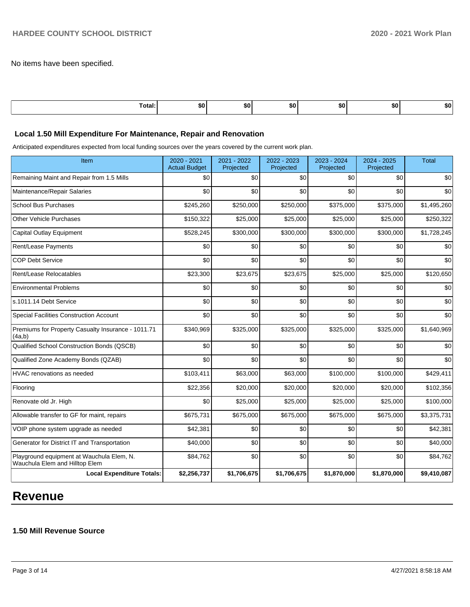No items have been specified.

| отан | бΩ | -111 | ъu | œ<br>-ын |  |
|------|----|------|----|----------|--|
|      |    |      |    |          |  |

## **Local 1.50 Mill Expenditure For Maintenance, Repair and Renovation**

Anticipated expenditures expected from local funding sources over the years covered by the current work plan.

| Item                                                                        | 2020 - 2021<br><b>Actual Budget</b> | 2021 - 2022<br>Projected | 2022 - 2023<br>Projected | 2023 - 2024<br>Projected | 2024 - 2025<br>Projected | <b>Total</b> |
|-----------------------------------------------------------------------------|-------------------------------------|--------------------------|--------------------------|--------------------------|--------------------------|--------------|
| Remaining Maint and Repair from 1.5 Mills                                   | \$0                                 | \$0                      | \$0                      | \$0                      | \$0                      | \$0          |
| Maintenance/Repair Salaries                                                 | \$0                                 | \$0                      | \$0                      | \$0                      | \$0                      | \$0          |
| <b>School Bus Purchases</b>                                                 | \$245,260                           | \$250,000                | \$250,000                | \$375,000                | \$375,000                | \$1,495,260  |
| <b>Other Vehicle Purchases</b>                                              | \$150,322                           | \$25,000                 | \$25,000                 | \$25,000                 | \$25,000                 | \$250,322    |
| <b>Capital Outlay Equipment</b>                                             | \$528,245                           | \$300,000                | \$300,000                | \$300,000                | \$300,000                | \$1,728,245  |
| Rent/Lease Payments                                                         | \$0                                 | \$0                      | \$0                      | \$0                      | \$0                      | \$0          |
| <b>COP Debt Service</b>                                                     | \$0                                 | \$0                      | \$0                      | \$0                      | \$0                      | \$0          |
| Rent/Lease Relocatables                                                     | \$23,300                            | \$23,675                 | \$23,675                 | \$25,000                 | \$25,000                 | \$120,650    |
| <b>Environmental Problems</b>                                               | \$0                                 | \$0                      | \$0                      | \$0                      | \$0                      | \$0          |
| s.1011.14 Debt Service                                                      | \$0                                 | \$0                      | \$0                      | \$0                      | \$0                      | \$0          |
| <b>Special Facilities Construction Account</b>                              | \$0                                 | \$0                      | \$0                      | \$0                      | \$0                      | \$0          |
| Premiums for Property Casualty Insurance - 1011.71<br>(4a,b)                | \$340,969                           | \$325,000                | \$325,000                | \$325,000                | \$325,000                | \$1,640,969  |
| Qualified School Construction Bonds (QSCB)                                  | \$0                                 | \$0                      | \$0                      | \$0                      | \$0                      | \$0          |
| Qualified Zone Academy Bonds (QZAB)                                         | \$0                                 | \$0                      | \$0                      | \$0                      | \$0                      | \$0          |
| HVAC renovations as needed                                                  | \$103,411                           | \$63,000                 | \$63,000                 | \$100,000                | \$100,000                | \$429,411    |
| Flooring                                                                    | \$22,356                            | \$20,000                 | \$20,000                 | \$20,000                 | \$20,000                 | \$102,356    |
| Renovate old Jr. High                                                       | \$0                                 | \$25,000                 | \$25,000                 | \$25,000                 | \$25,000                 | \$100,000    |
| Allowable transfer to GF for maint, repairs                                 | \$675,731                           | \$675,000                | \$675,000                | \$675,000                | \$675,000                | \$3,375,731  |
| VOIP phone system upgrade as needed                                         | \$42,381                            | \$0                      | \$0                      | \$0                      | \$0                      | \$42,381     |
| Generator for District IT and Transportation                                | \$40,000                            | \$0                      | \$0                      | \$0                      | \$0                      | \$40,000     |
| Playground equipment at Wauchula Elem, N.<br>Wauchula Elem and Hilltop Elem | \$84,762                            | \$0                      | \$0                      | \$0                      | \$0                      | \$84,762     |
| <b>Local Expenditure Totals:</b>                                            | \$2,256,737                         | \$1,706,675              | \$1,706,675              | \$1,870,000              | \$1,870,000              | \$9,410,087  |

# **Revenue**

## **1.50 Mill Revenue Source**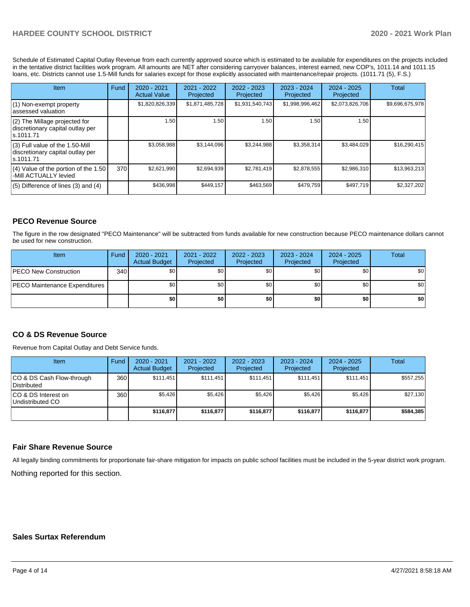Schedule of Estimated Capital Outlay Revenue from each currently approved source which is estimated to be available for expenditures on the projects included in the tentative district facilities work program. All amounts are NET after considering carryover balances, interest earned, new COP's, 1011.14 and 1011.15 loans, etc. Districts cannot use 1.5-Mill funds for salaries except for those explicitly associated with maintenance/repair projects. (1011.71 (5), F.S.)

| Item                                                                                | Fund | $2020 - 2021$<br><b>Actual Value</b> | $2021 - 2022$<br>Projected | $2022 - 2023$<br>Projected | $2023 - 2024$<br>Projected | $2024 - 2025$<br>Projected | Total           |
|-------------------------------------------------------------------------------------|------|--------------------------------------|----------------------------|----------------------------|----------------------------|----------------------------|-----------------|
| (1) Non-exempt property<br>lassessed valuation                                      |      | \$1,820,826,339                      | \$1,871,485,728            | \$1,931,540,743            | \$1,998,996,462            | \$2,073,826,706            | \$9,696,675,978 |
| $(2)$ The Millage projected for<br>discretionary capital outlay per<br>ls.1011.71   |      | 1.50                                 | .50 <sub>1</sub>           | 1.50                       | 1.50                       | 1.50 <sub>1</sub>          |                 |
| $(3)$ Full value of the 1.50-Mill<br>discretionary capital outlay per<br>ls.1011.71 |      | \$3,058,988                          | \$3.144.096                | \$3,244,988                | \$3,358,314                | \$3,484,029                | \$16,290,415    |
| $(4)$ Value of the portion of the 1.50<br>-Mill ACTUALLY levied                     | 370  | \$2,621,990                          | \$2,694,939                | \$2,781,419                | \$2,878,555                | \$2,986,310                | \$13,963,213    |
| $(5)$ Difference of lines $(3)$ and $(4)$                                           |      | \$436,998                            | \$449,157                  | \$463,569                  | \$479,759                  | \$497,719                  | \$2,327,202     |

## **PECO Revenue Source**

The figure in the row designated "PECO Maintenance" will be subtracted from funds available for new construction because PECO maintenance dollars cannot be used for new construction.

| Item                                 | Fund | $2020 - 2021$<br><b>Actual Budget</b> | 2021 - 2022<br>Projected | $2022 - 2023$<br>Projected | 2023 - 2024<br>Projected | $2024 - 2025$<br>Projected | Total            |
|--------------------------------------|------|---------------------------------------|--------------------------|----------------------------|--------------------------|----------------------------|------------------|
| <b>IPECO New Construction</b>        | 340  | \$0                                   | \$٥Ι                     | \$0                        | \$0                      | \$0                        | \$0              |
| <b>PECO Maintenance Expenditures</b> |      | \$0                                   | \$٥Ι                     | \$0                        | \$0 <sub>1</sub>         | \$0                        | \$0 <sub>1</sub> |
|                                      |      | \$0                                   | \$0                      | \$0                        | \$0                      | \$0                        | \$0              |

## **CO & DS Revenue Source**

Revenue from Capital Outlay and Debt Service funds.

| <b>Item</b>                              | Fund | $2020 - 2021$<br><b>Actual Budget</b> | 2021 - 2022<br>Projected | 2022 - 2023<br>Projected | $2023 - 2024$<br>Projected | $2024 - 2025$<br>Projected | Total     |
|------------------------------------------|------|---------------------------------------|--------------------------|--------------------------|----------------------------|----------------------------|-----------|
| CO & DS Cash Flow-through<br>Distributed | 360  | \$111,451                             | \$111.451                | \$111,451                | \$111.451                  | \$111,451                  | \$557,255 |
| CO & DS Interest on<br>Undistributed CO  | 360  | \$5,426                               | \$5,426                  | \$5,426                  | \$5.426                    | \$5,426                    | \$27,130  |
|                                          |      | \$116.877                             | \$116,877                | \$116,877                | \$116.877                  | \$116,877                  | \$584,385 |

### **Fair Share Revenue Source**

Nothing reported for this section. All legally binding commitments for proportionate fair-share mitigation for impacts on public school facilities must be included in the 5-year district work program.

## **Sales Surtax Referendum**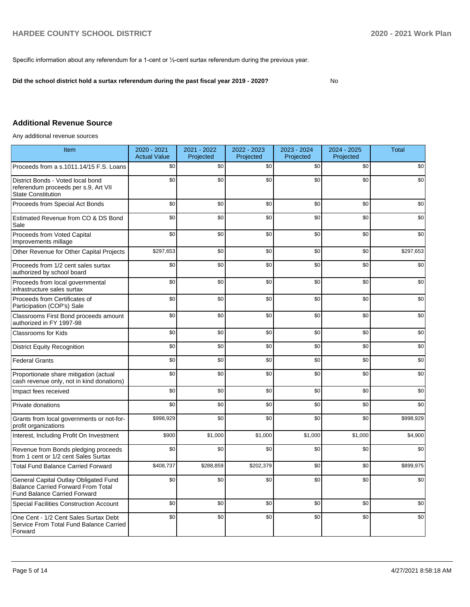Specific information about any referendum for a 1-cent or ½-cent surtax referendum during the previous year.

**Did the school district hold a surtax referendum during the past fiscal year 2019 - 2020?**

No

## **Additional Revenue Source**

Any additional revenue sources

| Item                                                                                                                      | 2020 - 2021<br><b>Actual Value</b> | 2021 - 2022<br>Projected | 2022 - 2023<br>Projected | 2023 - 2024<br>Projected | 2024 - 2025<br>Projected | <b>Total</b> |
|---------------------------------------------------------------------------------------------------------------------------|------------------------------------|--------------------------|--------------------------|--------------------------|--------------------------|--------------|
| Proceeds from a s.1011.14/15 F.S. Loans                                                                                   | \$0                                | \$0                      | \$0                      | \$0                      | \$0                      | \$0          |
| District Bonds - Voted local bond<br>referendum proceeds per s.9, Art VII<br><b>State Constitution</b>                    | \$0                                | \$0                      | \$0                      | \$0                      | \$0                      | \$0          |
| Proceeds from Special Act Bonds                                                                                           | \$0                                | \$0                      | \$0                      | \$0                      | \$0                      | \$0          |
| Estimated Revenue from CO & DS Bond<br>Sale                                                                               | \$0                                | \$0                      | \$0                      | \$0                      | \$0                      | \$0          |
| Proceeds from Voted Capital<br>Improvements millage                                                                       | \$0                                | \$0                      | \$0                      | \$0                      | \$0                      | \$0          |
| Other Revenue for Other Capital Projects                                                                                  | \$297,653                          | \$0                      | \$0                      | \$0                      | \$0                      | \$297,653    |
| Proceeds from 1/2 cent sales surtax<br>authorized by school board                                                         | \$0                                | \$0                      | \$0                      | \$0                      | \$0                      | \$0          |
| Proceeds from local governmental<br>infrastructure sales surtax                                                           | \$0                                | \$0                      | \$0                      | \$0                      | \$0                      | \$0          |
| Proceeds from Certificates of<br>Participation (COP's) Sale                                                               | \$0                                | \$0                      | \$0                      | \$0                      | \$0                      | \$0          |
| Classrooms First Bond proceeds amount<br>authorized in FY 1997-98                                                         | \$0                                | \$0                      | \$0                      | \$0                      | \$0                      | \$0          |
| Classrooms for Kids                                                                                                       | \$0                                | \$0                      | \$0                      | \$0                      | \$0                      | \$0          |
| <b>District Equity Recognition</b>                                                                                        | \$0                                | \$0                      | \$0                      | \$0                      | \$0                      | \$0          |
| <b>Federal Grants</b>                                                                                                     | \$0                                | \$0                      | \$0                      | \$0                      | \$0                      | \$0          |
| Proportionate share mitigation (actual<br>cash revenue only, not in kind donations)                                       | \$0                                | \$0                      | \$0                      | \$0                      | \$0                      | \$0          |
| Impact fees received                                                                                                      | \$0                                | \$0                      | \$0                      | \$0                      | \$0                      | \$0          |
| Private donations                                                                                                         | \$0                                | \$0                      | \$0                      | \$0                      | \$0                      | \$0          |
| Grants from local governments or not-for-<br>profit organizations                                                         | \$998,929                          | \$0                      | \$0                      | \$0                      | \$0                      | \$998,929    |
| Interest, Including Profit On Investment                                                                                  | \$900                              | \$1,000                  | \$1,000                  | \$1,000                  | \$1,000                  | \$4,900      |
| Revenue from Bonds pledging proceeds<br>from 1 cent or 1/2 cent Sales Surtax                                              | \$0                                | \$0                      | \$0                      | \$0                      | \$0                      | \$0          |
| <b>Total Fund Balance Carried Forward</b>                                                                                 | \$408,737                          | \$288,859                | \$202,379                | \$0                      | \$0                      | \$899,975    |
| General Capital Outlay Obligated Fund<br><b>Balance Carried Forward From Total</b><br><b>Fund Balance Carried Forward</b> | \$0                                | \$0                      | \$0                      | \$0                      | \$0                      | \$0          |
| <b>Special Facilities Construction Account</b>                                                                            | \$0                                | \$0                      | \$0                      | \$0                      | \$0                      | \$0          |
| One Cent - 1/2 Cent Sales Surtax Debt<br>Service From Total Fund Balance Carried<br>Forward                               | \$0                                | \$0                      | \$0                      | \$0                      | \$0                      | \$0          |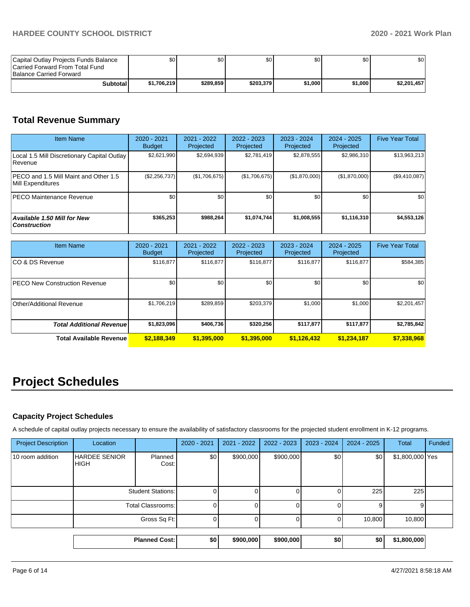| Capital Outlay Projects Funds Balance<br>Carried Forward From Total Fund<br><b>Balance Carried Forward</b> | SO I        | \$0       | \$0       | \$0     | \$0     | \$0         |
|------------------------------------------------------------------------------------------------------------|-------------|-----------|-----------|---------|---------|-------------|
| <b>Subtotal</b>                                                                                            | \$1.706.219 | \$289.859 | \$203,379 | \$1.000 | \$1.000 | \$2,201,457 |

## **Total Revenue Summary**

| <b>Item Name</b>                                                  | $2020 - 2021$<br><b>Budget</b> | $2021 - 2022$<br><b>Projected</b> | 2022 - 2023<br>Projected | 2023 - 2024<br>Projected | 2024 - 2025<br>Projected | <b>Five Year Total</b> |
|-------------------------------------------------------------------|--------------------------------|-----------------------------------|--------------------------|--------------------------|--------------------------|------------------------|
| Local 1.5 Mill Discretionary Capital Outlay<br>l Revenue          | \$2,621,990                    | \$2,694,939                       | \$2,781,419              | \$2,878,555              | \$2,986,310              | \$13,963,213           |
| <b>PECO</b> and 1.5 Mill Maint and Other 1.5<br>Mill Expenditures | (\$2,256,737)                  | (\$1,706,675)                     | (\$1,706,675)            | (\$1,870,000)            | (\$1,870,000)            | (\$9,410,087)          |
| <b>PECO Maintenance Revenue</b>                                   | \$0                            | \$0                               | \$0                      | \$0                      | \$0                      | \$0                    |
| <b>Available 1.50 Mill for New</b><br><b>Construction</b>         | \$365,253                      | \$988.264                         | \$1,074,744              | \$1,008,555              | \$1,116,310              | \$4,553,126            |

| <b>Item Name</b>                      | 2020 - 2021<br><b>Budget</b> | $2021 - 2022$<br>Projected | 2022 - 2023<br>Projected | 2023 - 2024<br>Projected | $2024 - 2025$<br>Projected | <b>Five Year Total</b> |
|---------------------------------------|------------------------------|----------------------------|--------------------------|--------------------------|----------------------------|------------------------|
| ICO & DS Revenue                      | \$116,877                    | \$116,877                  | \$116,877                | \$116,877                | \$116,877                  | \$584,385              |
| <b>IPECO New Construction Revenue</b> | \$0                          | \$0                        | \$0                      | \$0                      | \$0                        | \$0                    |
| Other/Additional Revenue              | \$1,706,219                  | \$289,859                  | \$203,379                | \$1,000                  | \$1,000                    | \$2,201,457            |
| <b>Total Additional Revenue</b>       | \$1,823,096                  | \$406.736                  | \$320,256                | \$117,877                | \$117.877                  | \$2,785,842            |
| <b>Total Available Revenue</b>        | \$2,188,349                  | \$1,395,000                | \$1,395,000              | \$1,126,432              | \$1,234,187                | \$7,338,968            |

# **Project Schedules**

## **Capacity Project Schedules**

A schedule of capital outlay projects necessary to ensure the availability of satisfactory classrooms for the projected student enrollment in K-12 programs.

|                            |                                     | <b>Planned Cost:</b>     | \$0         | \$900,000   | \$900,000   | \$0           | \$0           | \$1,800,000     |        |
|----------------------------|-------------------------------------|--------------------------|-------------|-------------|-------------|---------------|---------------|-----------------|--------|
|                            |                                     |                          |             |             |             |               |               |                 |        |
|                            |                                     | Gross Sq Ft:             | 0           |             |             |               | 10,800        | 10,800          |        |
|                            |                                     | <b>Total Classrooms:</b> | 0           |             |             |               | 9             | g               |        |
|                            |                                     | <b>Student Stations:</b> | 0           |             |             |               | 225           | 225             |        |
| 10 room addition           | <b>HARDEE SENIOR</b><br><b>HIGH</b> | Planned<br>Cost:         | \$0         | \$900,000   | \$900,000   | \$0           | \$0           | \$1,800,000 Yes |        |
| <b>Project Description</b> | Location                            |                          | 2020 - 2021 | 2021 - 2022 | 2022 - 2023 | $2023 - 2024$ | $2024 - 2025$ | Total           | Funded |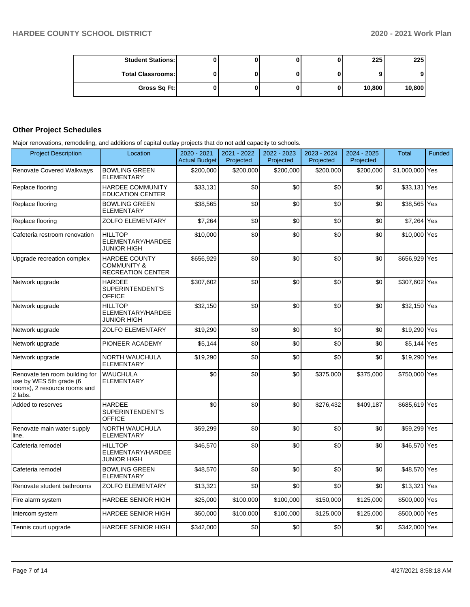| <b>Student Stations:</b> |  |   | 225    | 225    |
|--------------------------|--|---|--------|--------|
| <b>Total Classrooms:</b> |  |   |        | 9      |
| Gross Sq Ft:             |  | u | 10,800 | 10,800 |

## **Other Project Schedules**

Major renovations, remodeling, and additions of capital outlay projects that do not add capacity to schools.

| <b>Project Description</b>                                                                           | Location                                                                   | 2020 - 2021<br><b>Actual Budget</b> | 2021 - 2022<br>Projected | 2022 - 2023<br>Projected | 2023 - 2024<br>Projected | $2024 - 2025$<br>Projected | <b>Total</b>    | Funded |
|------------------------------------------------------------------------------------------------------|----------------------------------------------------------------------------|-------------------------------------|--------------------------|--------------------------|--------------------------|----------------------------|-----------------|--------|
| <b>Renovate Covered Walkways</b>                                                                     | <b>BOWLING GREEN</b><br><b>ELEMENTARY</b>                                  | \$200,000                           | \$200,000                | \$200,000                | \$200,000                | \$200,000                  | \$1,000,000 Yes |        |
| Replace flooring                                                                                     | <b>HARDEE COMMUNITY</b><br><b>EDUCATION CENTER</b>                         | \$33,131                            | \$0                      | \$0                      | \$0                      | \$0                        | \$33,131        | Yes    |
| Replace flooring                                                                                     | <b>BOWLING GREEN</b><br><b>ELEMENTARY</b>                                  | \$38.565                            | \$0                      | \$0                      | \$0                      | \$0                        | \$38,565 Yes    |        |
| Replace flooring                                                                                     | <b>ZOLFO ELEMENTARY</b>                                                    | \$7,264                             | \$0                      | \$0                      | \$0                      | \$0                        | \$7,264 Yes     |        |
| Cafeteria restroom renovation                                                                        | <b>HILLTOP</b><br>ELEMENTARY/HARDEE<br><b>JUNIOR HIGH</b>                  | \$10.000                            | \$0                      | \$0                      | \$0                      | \$0                        | \$10,000 Yes    |        |
| Upgrade recreation complex                                                                           | <b>HARDEE COUNTY</b><br><b>COMMUNITY &amp;</b><br><b>RECREATION CENTER</b> | \$656,929                           | \$0                      | \$0                      | \$0                      | \$0                        | \$656,929 Yes   |        |
| Network upgrade                                                                                      | <b>HARDEE</b><br>SUPERINTENDENT'S<br><b>OFFICE</b>                         | \$307.602                           | \$0                      | \$0                      | \$0                      | \$0                        | \$307,602 Yes   |        |
| Network upgrade                                                                                      | <b>HILLTOP</b><br>ELEMENTARY/HARDEE<br>JUNIOR HIGH                         | \$32,150                            | \$0                      | \$0                      | \$0                      | \$0                        | \$32,150 Yes    |        |
| Network upgrade                                                                                      | <b>ZOLFO ELEMENTARY</b>                                                    | \$19.290                            | \$0                      | \$0                      | \$0                      | \$0                        | \$19,290 Yes    |        |
| Network upgrade                                                                                      | PIONEER ACADEMY                                                            | \$5,144                             | \$0                      | \$0                      | \$0                      | \$0                        | \$5,144         | Yes    |
| Network upgrade                                                                                      | NORTH WAUCHULA<br><b>ELEMENTARY</b>                                        | \$19,290                            | \$0                      | \$0                      | \$0                      | \$0                        | \$19,290 Yes    |        |
| Renovate ten room building for<br>use by WES 5th grade (6<br>rooms), 2 resource rooms and<br>2 labs. | <b>WAUCHULA</b><br><b>ELEMENTARY</b>                                       | \$0                                 | \$0                      | \$0                      | \$375,000                | \$375,000                  | \$750,000 Yes   |        |
| Added to reserves                                                                                    | <b>HARDEE</b><br>SUPERINTENDENT'S<br><b>OFFICE</b>                         | \$0                                 | \$0                      | \$0                      | \$276,432                | \$409,187                  | \$685,619 Yes   |        |
| Renovate main water supply<br>line.                                                                  | <b>NORTH WAUCHULA</b><br><b>ELEMENTARY</b>                                 | \$59,299                            | \$0                      | \$0                      | \$0                      | \$0                        | \$59,299 Yes    |        |
| Cafeteria remodel                                                                                    | <b>HILLTOP</b><br>ELEMENTARY/HARDEE<br>JUNIOR HIGH                         | \$46,570                            | \$0                      | \$0                      | \$0                      | \$0                        | \$46,570 Yes    |        |
| Cafeteria remodel                                                                                    | <b>BOWLING GREEN</b><br><b>ELEMENTARY</b>                                  | \$48,570                            | \$0                      | \$0                      | \$0                      | \$0                        | \$48,570 Yes    |        |
| Renovate student bathrooms                                                                           | <b>ZOLFO ELEMENTARY</b>                                                    | \$13,321                            | \$0                      | \$0                      | \$0                      | \$0                        | \$13,321        | Yes    |
| Fire alarm system                                                                                    | <b>HARDEE SENIOR HIGH</b>                                                  | \$25,000                            | \$100,000                | \$100,000                | \$150,000                | \$125,000                  | \$500,000       | Yes    |
| Intercom system                                                                                      | <b>HARDEE SENIOR HIGH</b>                                                  | \$50,000                            | \$100,000                | \$100,000                | \$125,000                | \$125,000                  | \$500,000       | Yes    |
| Tennis court upgrade                                                                                 | <b>HARDEE SENIOR HIGH</b>                                                  | \$342,000                           | \$0                      | \$0                      | \$0                      | \$0                        | \$342,000 Yes   |        |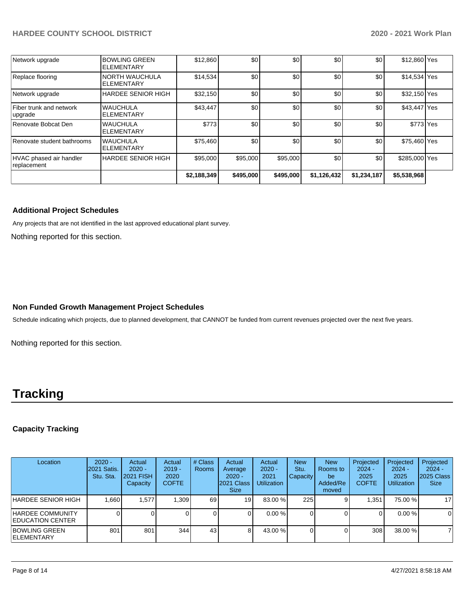## **HARDEE COUNTY SCHOOL DISTRICT 2020 - 2021 Work Plan**

| HVAC phased air handler<br>replacement | HARDEE SENIOR HIGH                         | \$95,000 | \$95,000 | \$95,000 | \$0              | \$0 | \$285,000 Yes |  |
|----------------------------------------|--------------------------------------------|----------|----------|----------|------------------|-----|---------------|--|
| Renovate student bathrooms             | <b>WAUCHULA</b><br><b>ELEMENTARY</b>       | \$75,460 | \$0      | \$0      | \$0 <sub>1</sub> | \$0 | \$75,460 Yes  |  |
| Renovate Bobcat Den                    | <b>WAUCHULA</b><br><b>ELEMENTARY</b>       | \$773    | \$0      | \$0      | \$0              | \$0 | \$773 Yes     |  |
| Fiber trunk and network<br>lupgrade    | <b>WAUCHULA</b><br><b>ELEMENTARY</b>       | \$43,447 | \$0      | \$0      | \$0              | \$0 | \$43,447 Yes  |  |
| Network upgrade                        | <b>HARDEE SENIOR HIGH</b>                  | \$32,150 | \$0      | \$0      | \$0              | \$0 | \$32,150 Yes  |  |
| Replace flooring                       | <b>NORTH WAUCHULA</b><br><b>ELEMENTARY</b> | \$14,534 | \$0      | \$0      | \$0 <sub>1</sub> | \$0 | \$14,534 Yes  |  |
| Network upgrade                        | <b>BOWLING GREEN</b><br>ELEMENTARY         | \$12,860 | \$0      | \$0      | \$0              | \$0 | \$12,860 Yes  |  |

## **Additional Project Schedules**

Any projects that are not identified in the last approved educational plant survey.

Nothing reported for this section.

## **Non Funded Growth Management Project Schedules**

Schedule indicating which projects, due to planned development, that CANNOT be funded from current revenues projected over the next five years.

Nothing reported for this section.

# **Tracking**

## **Capacity Tracking**

| Location                                     | $2020 -$<br><b>2021 Satis.</b><br>Stu. Sta. | Actual<br>$2020 -$<br><b>2021 FISH</b><br>Capacity | Actual<br>$2019 -$<br>2020<br><b>COFTE</b> | # Class<br>Rooms | Actual<br>Average<br>$2020 -$<br>2021 Class<br><b>Size</b> | Actual<br>$2020 -$<br>2021<br><b>Utilization</b> | <b>New</b><br>Stu.<br>Capacity | <b>New</b><br>Rooms to<br>be<br>Added/Re<br>moved | Projected<br>$2024 -$<br>2025<br><b>COFTE</b> | Projected<br>$2024 -$<br>2025<br><b>Utilization</b> | Projected<br>$2024 -$<br>2025 Class<br><b>Size</b> |
|----------------------------------------------|---------------------------------------------|----------------------------------------------------|--------------------------------------------|------------------|------------------------------------------------------------|--------------------------------------------------|--------------------------------|---------------------------------------------------|-----------------------------------------------|-----------------------------------------------------|----------------------------------------------------|
| HARDEE SENIOR HIGH                           | .660                                        | 1,577                                              | 1,309                                      | 69 I             | 19 <sub>1</sub>                                            | 83.00 %                                          | 225                            |                                                   | 1,351                                         | 75.00 %                                             | 17                                                 |
| HARDEE COMMUNITY<br><b>IEDUCATION CENTER</b> |                                             |                                                    |                                            | 0                |                                                            | $0.00 \%$                                        |                                |                                                   |                                               | 0.00%                                               | $\Omega$                                           |
| IBOWLING GREEN<br><b>IELEMENTARY</b>         | 801                                         | 801                                                | 344                                        | 431              | 8                                                          | 43.00 %                                          |                                |                                                   | 308                                           | 38.00 %                                             |                                                    |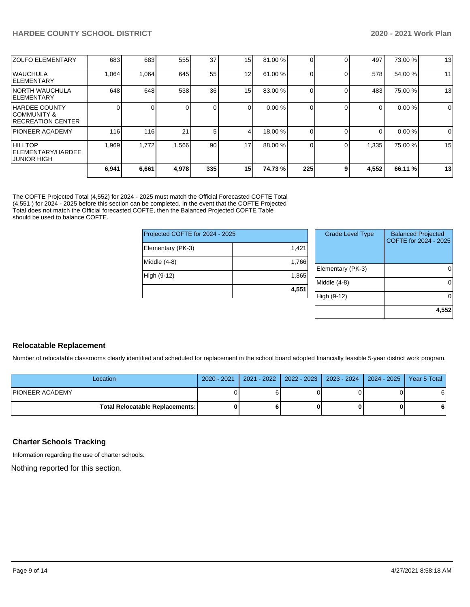| <b>ZOLFO ELEMENTARY</b>                                                     | 683   | 683   | 555   | 37               | 15              | 81.00 % |     | 0        | 497   | 73.00 % | 13 |
|-----------------------------------------------------------------------------|-------|-------|-------|------------------|-----------------|---------|-----|----------|-------|---------|----|
| <b>IWAUCHULA</b><br><b>IELEMENTARY</b>                                      | 1,064 | 1,064 | 645   | 55               | 12 <sub>1</sub> | 61.00 % |     | $\Omega$ | 578   | 54.00 % | 11 |
| <b>INORTH WAUCHULA</b><br><b>IELEMENTARY</b>                                | 648   | 648   | 538   | 36 <sup>1</sup>  | 15              | 83.00 % |     | $\Omega$ | 483   | 75.00 % | 13 |
| <b>HARDEE COUNTY</b><br><b>COMMUNITY &amp;</b><br><b>IRECREATION CENTER</b> |       |       |       | $\Omega$         |                 | 0.00%   |     | $\Omega$ | 0     | 0.00%   | 0  |
| <b>PIONEER ACADEMY</b>                                                      | 116   | 116   | 21    | 5                | 4               | 18.00 % |     | $\Omega$ | 0     | 0.00%   | 0  |
| <b>HILLTOP</b><br><b>IELEMENTARY/HARDEE</b><br>IJUNIOR HIGH                 | 1,969 | 1,772 | 1,566 | 90 <sub>1</sub>  | 17              | 88.00 % |     | $\Omega$ | 1,335 | 75.00 % | 15 |
|                                                                             | 6,941 | 6,661 | 4,978 | 335 <sub>1</sub> | 15              | 74.73%  | 225 | 9        | 4,552 | 66.11 % | 13 |

The COFTE Projected Total (4,552) for 2024 - 2025 must match the Official Forecasted COFTE Total (4,551 ) for 2024 - 2025 before this section can be completed. In the event that the COFTE Projected Total does not match the Official forecasted COFTE, then the Balanced Projected COFTE Table should be used to balance COFTE.

| Projected COFTE for 2024 - 2025 |       |
|---------------------------------|-------|
| Elementary (PK-3)               | 1,421 |
| Middle (4-8)                    | 1,766 |
| High (9-12)                     | 1,365 |
|                                 | 4,551 |

| <b>Grade Level Type</b> | <b>Balanced Projected</b><br>COFTE for 2024 - 2025 |
|-------------------------|----------------------------------------------------|
| Elementary (PK-3)       |                                                    |
| Middle (4-8)            |                                                    |
| High (9-12)             |                                                    |
|                         | 4,552                                              |

## **Relocatable Replacement**

Number of relocatable classrooms clearly identified and scheduled for replacement in the school board adopted financially feasible 5-year district work program.

| Location                        |  | 2020 - 2021   2021 - 2022   2022 - 2023   2023 - 2024   2024 - 2025   Year 5 Total |   |
|---------------------------------|--|------------------------------------------------------------------------------------|---|
| <b>PIONEER ACADEMY</b>          |  |                                                                                    | 6 |
| Total Relocatable Replacements: |  |                                                                                    | 6 |

## **Charter Schools Tracking**

Information regarding the use of charter schools.

Nothing reported for this section.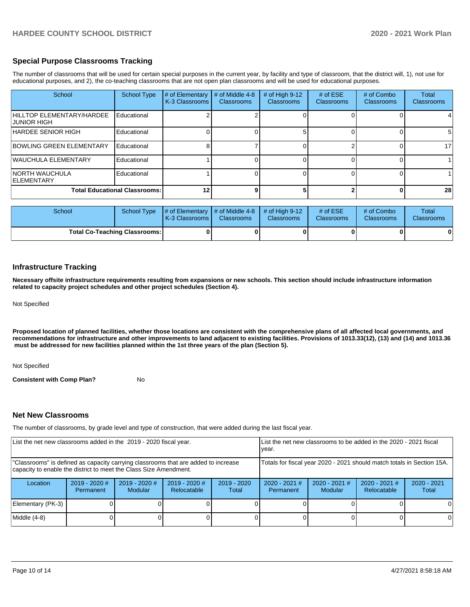## **Special Purpose Classrooms Tracking**

The number of classrooms that will be used for certain special purposes in the current year, by facility and type of classroom, that the district will, 1), not use for educational purposes, and 2), the co-teaching classrooms that are not open plan classrooms and will be used for educational purposes.

| School                                    | <b>School Type</b>                   | # of Elementary<br>K-3 Classrooms | # of Middle 4-8<br><b>Classrooms</b> | # of High $9-12$<br><b>Classrooms</b> | # of $ESE$<br>Classrooms | # of Combo<br><b>Classrooms</b> | Total<br>Classrooms |
|-------------------------------------------|--------------------------------------|-----------------------------------|--------------------------------------|---------------------------------------|--------------------------|---------------------------------|---------------------|
| HILLTOP ELEMENTARY/HARDEE<br>IJUNIOR HIGH | Educational                          |                                   |                                      |                                       |                          |                                 |                     |
| HARDEE SENIOR HIGH                        | Educational                          |                                   |                                      |                                       |                          |                                 |                     |
| BOWLING GREEN ELEMENTARY                  | Educational                          |                                   |                                      |                                       |                          |                                 | 17                  |
| WAUCHULA ELEMENTARY                       | Educational                          |                                   |                                      |                                       |                          |                                 |                     |
| INORTH WAUCHULA<br><b>IELEMENTARY</b>     | Educational                          |                                   |                                      |                                       |                          |                                 |                     |
|                                           | <b>Total Educational Classrooms:</b> | 12                                |                                      |                                       |                          |                                 | 28                  |

| School                               | School Type | $\parallel \#$ of Elementary $\parallel \#$ of Middle 4-8 $\parallel \#$ of High 9-12<br><b>K-3 Classrooms</b> | <b>Classrooms</b> | <b>Classrooms</b> | # of $ESE$<br><b>Classrooms</b> | # of Combo<br><b>Classrooms</b> | Total<br><b>Classrooms</b> |
|--------------------------------------|-------------|----------------------------------------------------------------------------------------------------------------|-------------------|-------------------|---------------------------------|---------------------------------|----------------------------|
| <b>Total Co-Teaching Classrooms:</b> |             |                                                                                                                |                   |                   |                                 | 01                              | 0                          |

### **Infrastructure Tracking**

**Necessary offsite infrastructure requirements resulting from expansions or new schools. This section should include infrastructure information related to capacity project schedules and other project schedules (Section 4).** 

Not Specified

**Proposed location of planned facilities, whether those locations are consistent with the comprehensive plans of all affected local governments, and recommendations for infrastructure and other improvements to land adjacent to existing facilities. Provisions of 1013.33(12), (13) and (14) and 1013.36** must be addressed for new facilities planned within the 1st three years of the plan (Section 5).

Not Specified

**Consistent with Comp Plan?** No

### **Net New Classrooms**

The number of classrooms, by grade level and type of construction, that were added during the last fiscal year.

| List the net new classrooms added in the 2019 - 2020 fiscal year.                                                                                       |                              |                            |                                |                                                                        | List the net new classrooms to be added in the 2020 - 2021 fiscal<br>year. |                            |                                |                        |
|---------------------------------------------------------------------------------------------------------------------------------------------------------|------------------------------|----------------------------|--------------------------------|------------------------------------------------------------------------|----------------------------------------------------------------------------|----------------------------|--------------------------------|------------------------|
| "Classrooms" is defined as capacity carrying classrooms that are added to increase<br>capacity to enable the district to meet the Class Size Amendment. |                              |                            |                                | Totals for fiscal year 2020 - 2021 should match totals in Section 15A. |                                                                            |                            |                                |                        |
| Location                                                                                                                                                | $2019 - 2020$ #<br>Permanent | $2019 - 2020$ #<br>Modular | $2019 - 2020$ #<br>Relocatable | $2019 - 2020$<br>Total                                                 | $2020 - 2021$ #<br>Permanent                                               | $2020 - 2021$ #<br>Modular | $2020 - 2021$ #<br>Relocatable | $2020 - 2021$<br>Total |
| Elementary (PK-3)                                                                                                                                       |                              |                            |                                |                                                                        |                                                                            |                            |                                |                        |
| Middle (4-8)                                                                                                                                            |                              |                            |                                |                                                                        |                                                                            |                            |                                | 0                      |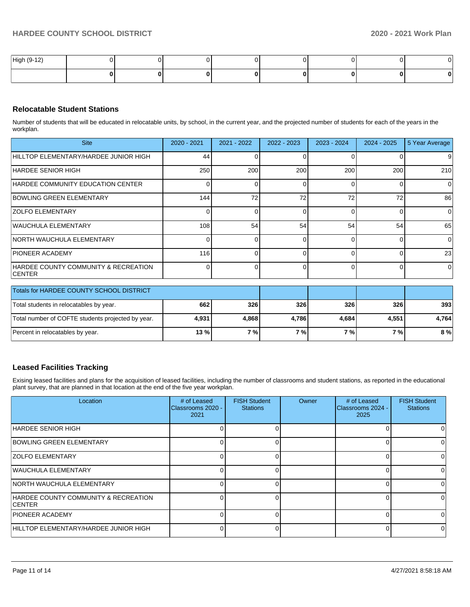| High (9-12) |  |  |  |   | $\cdot$ |
|-------------|--|--|--|---|---------|
|             |  |  |  | u |         |

## **Relocatable Student Stations**

Number of students that will be educated in relocatable units, by school, in the current year, and the projected number of students for each of the years in the workplan.

| <b>Site</b>                                                       | $2020 - 2021$ | $2021 - 2022$ | $2022 - 2023$ | $2023 - 2024$ | 2024 - 2025 | 5 Year Average |
|-------------------------------------------------------------------|---------------|---------------|---------------|---------------|-------------|----------------|
| HILLTOP ELEMENTARY/HARDEE JUNIOR HIGH                             | 44            |               |               |               | 0           | 9              |
| IHARDEE SENIOR HIGH                                               | 250           | 200           | 200           | 200           | 200         | 210            |
| HARDEE COMMUNITY EDUCATION CENTER                                 |               |               |               |               | 0           | $\Omega$       |
| <b>BOWLING GREEN ELEMENTARY</b>                                   | 144           | 72            | 72            | 72            | 72          | 86             |
| <b>IZOLFO ELEMENTARY</b>                                          |               |               |               |               | 0           | $\overline{0}$ |
| <b>WAUCHULA ELEMENTARY</b>                                        | 108           | 54            | 54            | 54            | 54          | 65             |
| <b>INORTH WAUCHULA ELEMENTARY</b>                                 |               |               |               |               | 0           | $\overline{0}$ |
| <b>IPIONEER ACADEMY</b>                                           | 116           |               |               |               | $\Omega$    | 23             |
| <b>HARDEE COUNTY COMMUNITY &amp; RECREATION</b><br><b>ICENTER</b> |               |               |               |               | $\Omega$    | $\Omega$       |

| Totals for HARDEE COUNTY SCHOOL DISTRICT          |       |       |       |       |            |       |
|---------------------------------------------------|-------|-------|-------|-------|------------|-------|
| Total students in relocatables by year.           | 662   | 326   | 326   | 326   | <b>326</b> | 393   |
| Total number of COFTE students projected by year. | 4.931 | 4.868 | 4.786 | 4.684 | 4,551      | 4.764 |
| Percent in relocatables by year.                  | 13 %  | 7%1   | 7%1   | 7 %   | 7 % I      | 8%    |

## **Leased Facilities Tracking**

Exising leased facilities and plans for the acquisition of leased facilities, including the number of classrooms and student stations, as reported in the educational plant survey, that are planned in that location at the end of the five year workplan.

| Location                                               | # of Leased<br>Classrooms 2020 -<br>2021 | <b>FISH Student</b><br><b>Stations</b> | Owner | # of Leased<br>Classrooms 2024 -<br>2025 | <b>FISH Student</b><br><b>Stations</b> |
|--------------------------------------------------------|------------------------------------------|----------------------------------------|-------|------------------------------------------|----------------------------------------|
| HARDEE SENIOR HIGH                                     |                                          |                                        |       | O                                        |                                        |
| <b>BOWLING GREEN ELEMENTARY</b>                        |                                          | O                                      |       | 0                                        | <sup>0</sup>                           |
| <b>ZOLFO ELEMENTARY</b>                                |                                          |                                        |       | 0                                        | <sup>0</sup>                           |
| <b>WAUCHULA ELEMENTARY</b>                             |                                          | 0                                      |       | 0                                        | 0                                      |
| INORTH WAUCHULA ELEMENTARY                             |                                          | 0                                      |       | 0                                        | <sup>0</sup>                           |
| HARDEE COUNTY COMMUNITY & RECREATION<br><b>ICENTER</b> |                                          |                                        |       | 0                                        | <sup>0</sup>                           |
| <b>PIONEER ACADEMY</b>                                 |                                          |                                        |       | 0                                        |                                        |
| HILLTOP ELEMENTARY/HARDEE JUNIOR HIGH                  |                                          |                                        |       | 0                                        | <sup>0</sup>                           |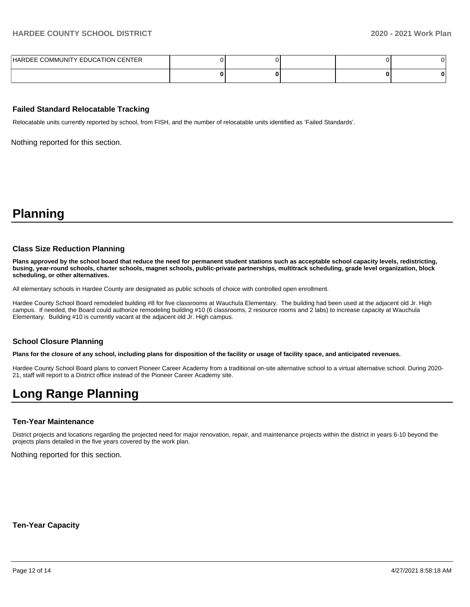| HARDEE COMMUNITY EDUCATION CENTER |  |  |  |
|-----------------------------------|--|--|--|
|                                   |  |  |  |

#### **Failed Standard Relocatable Tracking**

Relocatable units currently reported by school, from FISH, and the number of relocatable units identified as 'Failed Standards'.

Nothing reported for this section.

# **Planning**

#### **Class Size Reduction Planning**

**Plans approved by the school board that reduce the need for permanent student stations such as acceptable school capacity levels, redistricting, busing, year-round schools, charter schools, magnet schools, public-private partnerships, multitrack scheduling, grade level organization, block scheduling, or other alternatives.**

All elementary schools in Hardee County are designated as public schools of choice with controlled open enrollment.

Hardee County School Board remodeled building #8 for five classrooms at Wauchula Elementary. The building had been used at the adjacent old Jr. High campus. If needed, the Board could authorize remodeling building #10 (6 classrooms, 2 resource rooms and 2 labs) to increase capacity at Wauchula Elementary. Building #10 is currently vacant at the adjacent old Jr. High campus.

### **School Closure Planning**

**Plans for the closure of any school, including plans for disposition of the facility or usage of facility space, and anticipated revenues.** 

Hardee County School Board plans to convert Pioneer Career Academy from a traditional on-site alternative school to a virtual alternative school. During 2020- 21, staff will report to a District office instead of the Pioneer Career Academy site.

# **Long Range Planning**

### **Ten-Year Maintenance**

District projects and locations regarding the projected need for major renovation, repair, and maintenance projects within the district in years 6-10 beyond the projects plans detailed in the five years covered by the work plan.

Nothing reported for this section.

**Ten-Year Capacity**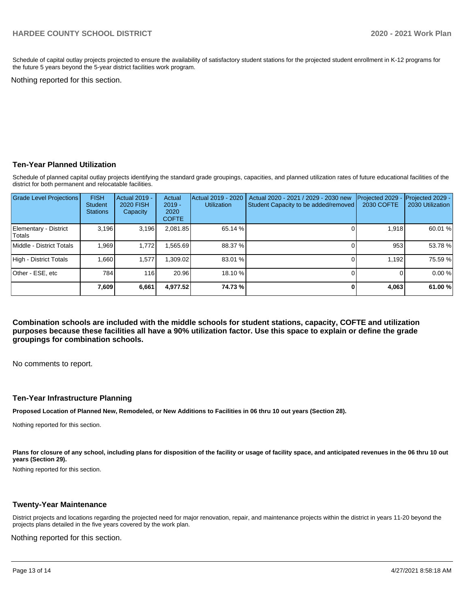Schedule of capital outlay projects projected to ensure the availability of satisfactory student stations for the projected student enrollment in K-12 programs for the future 5 years beyond the 5-year district facilities work program.

Nothing reported for this section.

## **Ten-Year Planned Utilization**

Schedule of planned capital outlay projects identifying the standard grade groupings, capacities, and planned utilization rates of future educational facilities of the district for both permanent and relocatable facilities.

| <b>Grade Level Projections</b>  | <b>FISH</b><br><b>Student</b><br><b>Stations</b> | Actual 2019 -<br><b>2020 FISH</b><br>Capacity | Actual<br>$2019 -$<br>2020<br><b>COFTE</b> | Actual 2019 - 2020<br><b>Utilization</b> | Actual 2020 - 2021 / 2029 - 2030 new<br>Student Capacity to be added/removed | Projected 2029<br>2030 COFTE | Projected 2029 -<br>2030 Utilization |
|---------------------------------|--------------------------------------------------|-----------------------------------------------|--------------------------------------------|------------------------------------------|------------------------------------------------------------------------------|------------------------------|--------------------------------------|
| Elementary - District<br>Totals | 3,196                                            | 3,196                                         | 2,081.85                                   | 65.14 %                                  |                                                                              | 1.918                        | 60.01 %                              |
| Middle - District Totals        | 1.969                                            | 1,772                                         | ,565.69                                    | 88.37 %                                  |                                                                              | 953                          | 53.78 %                              |
| High - District Totals          | 1.660                                            | 1,577                                         | ,309.02                                    | 83.01 %                                  |                                                                              | 1.192                        | 75.59 %                              |
| Other - ESE, etc                | 784                                              | 116                                           | 20.96                                      | 18.10 %                                  |                                                                              |                              | 0.00%                                |
|                                 | 7,609                                            | 6,661                                         | 4.977.52                                   | 74.73%                                   |                                                                              | 4,063                        | 61.00 %                              |

**Combination schools are included with the middle schools for student stations, capacity, COFTE and utilization purposes because these facilities all have a 90% utilization factor. Use this space to explain or define the grade groupings for combination schools.** 

No comments to report.

#### **Ten-Year Infrastructure Planning**

**Proposed Location of Planned New, Remodeled, or New Additions to Facilities in 06 thru 10 out years (Section 28).**

Nothing reported for this section.

Plans for closure of any school, including plans for disposition of the facility or usage of facility space, and anticipated revenues in the 06 thru 10 out **years (Section 29).**

Nothing reported for this section.

#### **Twenty-Year Maintenance**

District projects and locations regarding the projected need for major renovation, repair, and maintenance projects within the district in years 11-20 beyond the projects plans detailed in the five years covered by the work plan.

Nothing reported for this section.